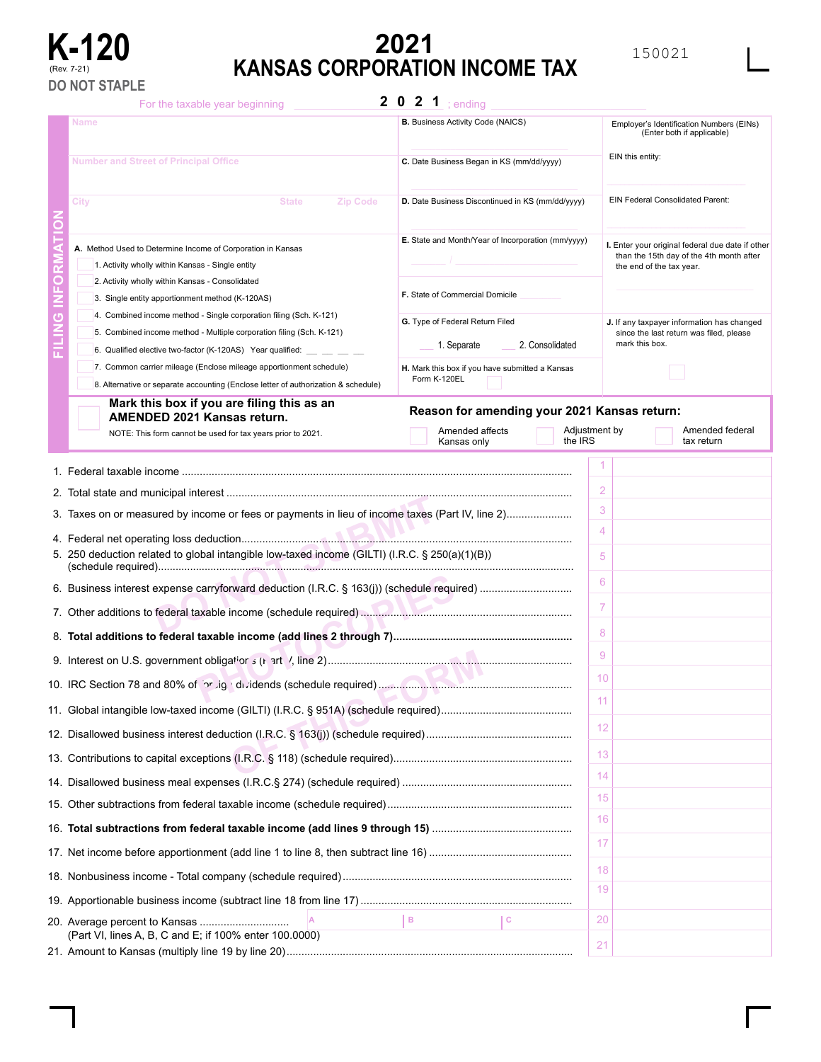

# **K-120 EXECUTE:**<br> **KANSAS CORPORATION INCOME TAX KANSAS CORPORATION INCOME TAX**

For the taxable year beginning

2 0 2 1 ; ending

|    | Name                                                                                                                                                               | <b>B.</b> Business Activity Code (NAICS)           |                  | Employer's Identification Numbers (EINs)<br>(Enter both if applicable)                                                   |  |
|----|--------------------------------------------------------------------------------------------------------------------------------------------------------------------|----------------------------------------------------|------------------|--------------------------------------------------------------------------------------------------------------------------|--|
|    | <b>Number and Street of Principal Office</b><br>C. Date Business Began in KS (mm/dd/yyyy)                                                                          |                                                    | EIN this entity: |                                                                                                                          |  |
|    | City<br><b>Zip Code</b><br><b>State</b>                                                                                                                            | D. Date Business Discontinued in KS (mm/dd/yyyy)   |                  | EIN Federal Consolidated Parent:                                                                                         |  |
| Ο  | A. Method Used to Determine Income of Corporation in Kansas<br>1. Activity wholly within Kansas - Single entity<br>2. Activity wholly within Kansas - Consolidated | E. State and Month/Year of Incorporation (mm/yyyy) |                  | I. Enter your original federal due date if other<br>than the 15th day of the 4th month after<br>the end of the tax year. |  |
| n. | 3. Single entity apportionment method (K-120AS)                                                                                                                    | F. State of Commercial Domicile                    |                  |                                                                                                                          |  |
| ō  | 4. Combined income method - Single corporation filing (Sch. K-121)                                                                                                 |                                                    |                  |                                                                                                                          |  |
|    | 5. Combined income method - Multiple corporation filing (Sch. K-121)                                                                                               | G. Type of Federal Return Filed                    |                  | J. If any taxpayer information has changed<br>since the last return was filed, please                                    |  |
|    | 6. Qualified elective two-factor (K-120AS) Year qualified:                                                                                                         | 1. Separate                                        | 2. Consolidated  | mark this box.                                                                                                           |  |
|    | 7. Common carrier mileage (Enclose mileage apportionment schedule)                                                                                                 | H. Mark this box if you have submitted a Kansas    |                  |                                                                                                                          |  |
|    | 8. Alternative or separate accounting (Enclose letter of authorization & schedule)                                                                                 | Form K-120EL                                       |                  |                                                                                                                          |  |
|    | Mark this box if you are filing this as an<br><b>AMENDED 2021 Kansas return.</b>                                                                                   | Reason for amending your 2021 Kansas return:       |                  |                                                                                                                          |  |
|    | NOTE: This form cannot be used for tax years prior to 2021.                                                                                                        | Amended affects<br>Kansas only                     | the IRS          | Adjustment by<br>Amended federal<br>tax return                                                                           |  |
|    |                                                                                                                                                                    |                                                    |                  |                                                                                                                          |  |
|    |                                                                                                                                                                    |                                                    |                  |                                                                                                                          |  |
|    |                                                                                                                                                                    |                                                    |                  | 2                                                                                                                        |  |
|    | 3. Taxes on or measured by income or fees or payments in lieu of income taxes (Part IV, line 2)                                                                    |                                                    |                  | 3                                                                                                                        |  |
|    |                                                                                                                                                                    |                                                    |                  | $\overline{4}$                                                                                                           |  |
|    | 5. 250 deduction related to global intangible low-taxed income (GILTI) (I.R.C. § 250(a)(1)(B))                                                                     |                                                    |                  | 5                                                                                                                        |  |
|    |                                                                                                                                                                    |                                                    | 6                |                                                                                                                          |  |
|    |                                                                                                                                                                    |                                                    | $\overline{7}$   |                                                                                                                          |  |
|    |                                                                                                                                                                    |                                                    |                  | 8                                                                                                                        |  |
|    |                                                                                                                                                                    |                                                    |                  | 9                                                                                                                        |  |
|    |                                                                                                                                                                    |                                                    |                  | 10                                                                                                                       |  |
|    | 11. Global intangible low-taxed income (GILTI) (I.R.C. § 951A) (schedule required)                                                                                 |                                                    |                  | 11                                                                                                                       |  |
|    |                                                                                                                                                                    |                                                    |                  | 12                                                                                                                       |  |
|    |                                                                                                                                                                    |                                                    |                  | 13                                                                                                                       |  |
|    |                                                                                                                                                                    |                                                    | 14               |                                                                                                                          |  |
|    |                                                                                                                                                                    |                                                    | 15               |                                                                                                                          |  |
|    |                                                                                                                                                                    |                                                    |                  | 16                                                                                                                       |  |
|    |                                                                                                                                                                    |                                                    | 17               |                                                                                                                          |  |
|    |                                                                                                                                                                    |                                                    | 18               |                                                                                                                          |  |
|    | 19                                                                                                                                                                 |                                                    |                  |                                                                                                                          |  |
|    | 20. Average percent to Kansas                                                                                                                                      | Iв.                                                | I C              | 20                                                                                                                       |  |
|    | (Part VI, lines A, B, C and E; if 100% enter 100.0000)                                                                                                             |                                                    |                  | 21                                                                                                                       |  |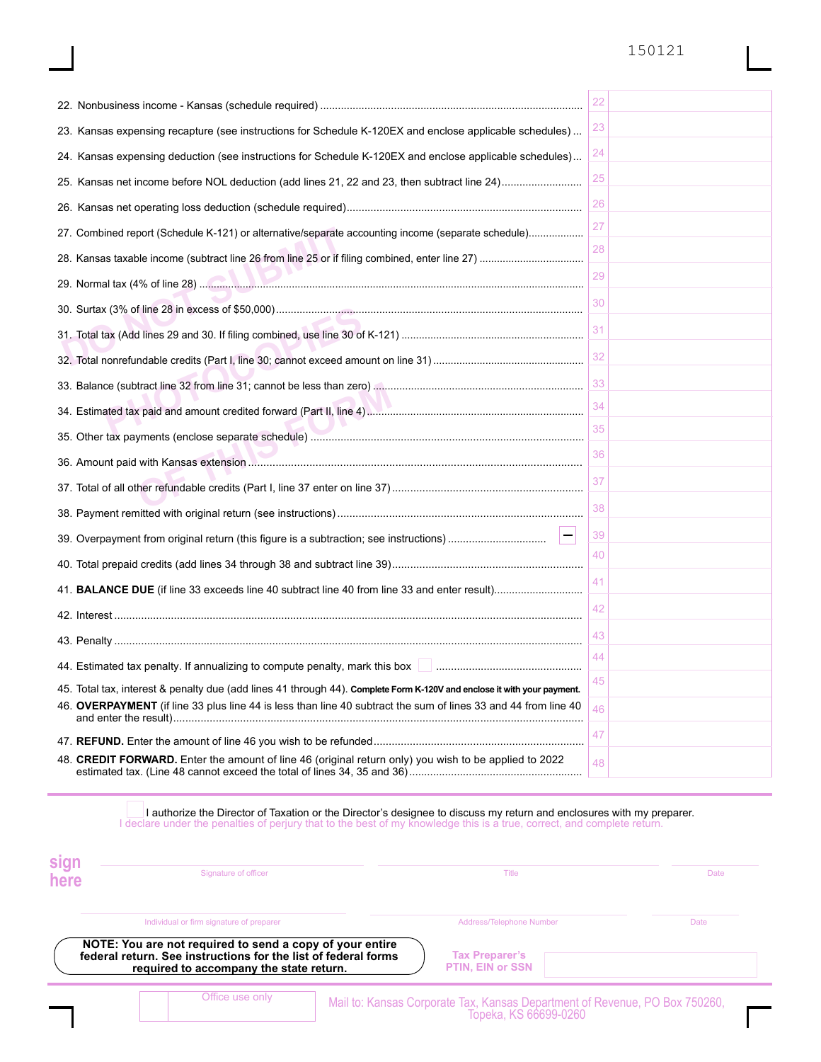## 150121

|                                                                                                                                                                                                                                                          | 22 |
|----------------------------------------------------------------------------------------------------------------------------------------------------------------------------------------------------------------------------------------------------------|----|
| 23. Kansas expensing recapture (see instructions for Schedule K-120EX and enclose applicable schedules)                                                                                                                                                  | 23 |
| 24. Kansas expensing deduction (see instructions for Schedule K-120EX and enclose applicable schedules)                                                                                                                                                  | 24 |
| 25. Kansas net income before NOL deduction (add lines 21, 22 and 23, then subtract line 24)                                                                                                                                                              | 25 |
|                                                                                                                                                                                                                                                          | 26 |
| 27. Combined report (Schedule K-121) or alternative/separate accounting income (separate schedule)                                                                                                                                                       | 27 |
|                                                                                                                                                                                                                                                          | 28 |
|                                                                                                                                                                                                                                                          | 29 |
|                                                                                                                                                                                                                                                          | 30 |
|                                                                                                                                                                                                                                                          | 31 |
|                                                                                                                                                                                                                                                          | 32 |
|                                                                                                                                                                                                                                                          | 33 |
|                                                                                                                                                                                                                                                          | 34 |
|                                                                                                                                                                                                                                                          | 35 |
|                                                                                                                                                                                                                                                          | 36 |
|                                                                                                                                                                                                                                                          | 37 |
|                                                                                                                                                                                                                                                          | 38 |
|                                                                                                                                                                                                                                                          | 39 |
|                                                                                                                                                                                                                                                          | 40 |
|                                                                                                                                                                                                                                                          | 41 |
|                                                                                                                                                                                                                                                          | 42 |
|                                                                                                                                                                                                                                                          | 43 |
| 44. Estimated tax penalty. If annualizing to compute penalty, mark this box <b>Fig. 1.1.</b> (2001) All the summan summan summan summan summan summan summan summan summan summan summan summan summan summan summan summan summan                       | 44 |
| 45. Total tax, interest & penalty due (add lines 41 through 44). <b>Complete Form K-120V and enclose it with your payment</b> .                                                                                                                          | 45 |
| 46. OVERPAYMENT (if line 33 plus line 44 is less than line 40 subtract the sum of lines 33 and 44 from line 40                                                                                                                                           | 46 |
|                                                                                                                                                                                                                                                          | 47 |
| 48. CREDIT FORWARD. Enter the amount of line 46 (original return only) you wish to be applied to 2022                                                                                                                                                    | 48 |
| I authorize the Director of Taxation or the Director's designee to discuss my return and enclosures with my preparer.<br>I declare under the penalties of perjury that to the best of my knowledge this is a true, correct, and complete return.<br>einn |    |

| эіун<br>here | Signature of officer                                                                                      | Title |                                                                                                      | <b>Date</b> |
|--------------|-----------------------------------------------------------------------------------------------------------|-------|------------------------------------------------------------------------------------------------------|-------------|
|              | Individual or firm signature of preparer<br>NOTE: You are not required to send a copy of your entire      |       | <b>Address/Telephone Number</b>                                                                      | Date        |
|              | federal return. See instructions for the list of federal forms<br>required to accompany the state return. |       | <b>Tax Preparer's</b><br><b>PTIN, EIN or SSN</b>                                                     |             |
|              | Office use only                                                                                           |       | Mail to: Kansas Corporate Tax, Kansas Department of Revenue, PO Box 750260,<br>Topeka, KS 66699-0260 |             |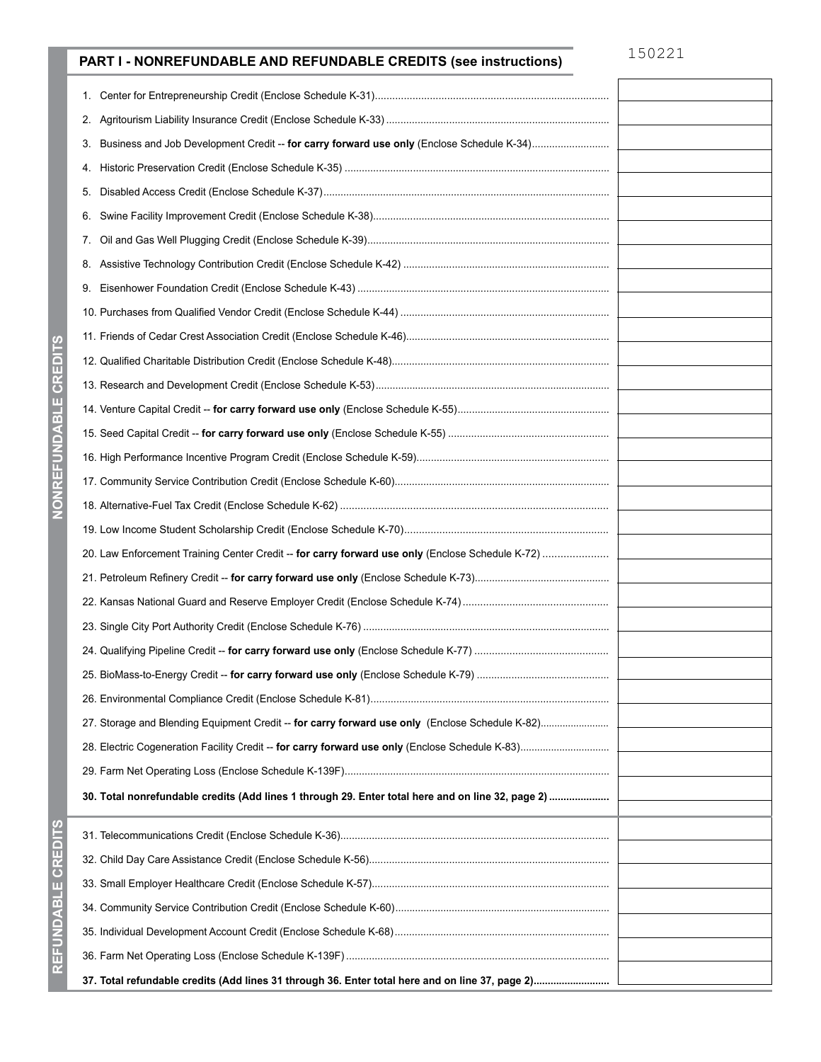## **PART I - NONREFUNDABLE AND REFUNDABLE CREDITS (see instructions)**

| 1.                                                                                                |  |
|---------------------------------------------------------------------------------------------------|--|
|                                                                                                   |  |
| Business and Job Development Credit -- for carry forward use only (Enclose Schedule K-34)<br>3.   |  |
| 4.                                                                                                |  |
| 5.                                                                                                |  |
| 6.                                                                                                |  |
| 7.                                                                                                |  |
|                                                                                                   |  |
|                                                                                                   |  |
|                                                                                                   |  |
|                                                                                                   |  |
|                                                                                                   |  |
|                                                                                                   |  |
|                                                                                                   |  |
|                                                                                                   |  |
|                                                                                                   |  |
|                                                                                                   |  |
|                                                                                                   |  |
|                                                                                                   |  |
| 20. Law Enforcement Training Center Credit -- for carry forward use only (Enclose Schedule K-72)  |  |
|                                                                                                   |  |
|                                                                                                   |  |
|                                                                                                   |  |
|                                                                                                   |  |
|                                                                                                   |  |
|                                                                                                   |  |
| 27. Storage and Blending Equipment Credit -- for carry forward use only (Enclose Schedule K-82)   |  |
|                                                                                                   |  |
|                                                                                                   |  |
| 30. Total nonrefundable credits (Add lines 1 through 29. Enter total here and on line 32, page 2) |  |
|                                                                                                   |  |
|                                                                                                   |  |
|                                                                                                   |  |
|                                                                                                   |  |
|                                                                                                   |  |
|                                                                                                   |  |
|                                                                                                   |  |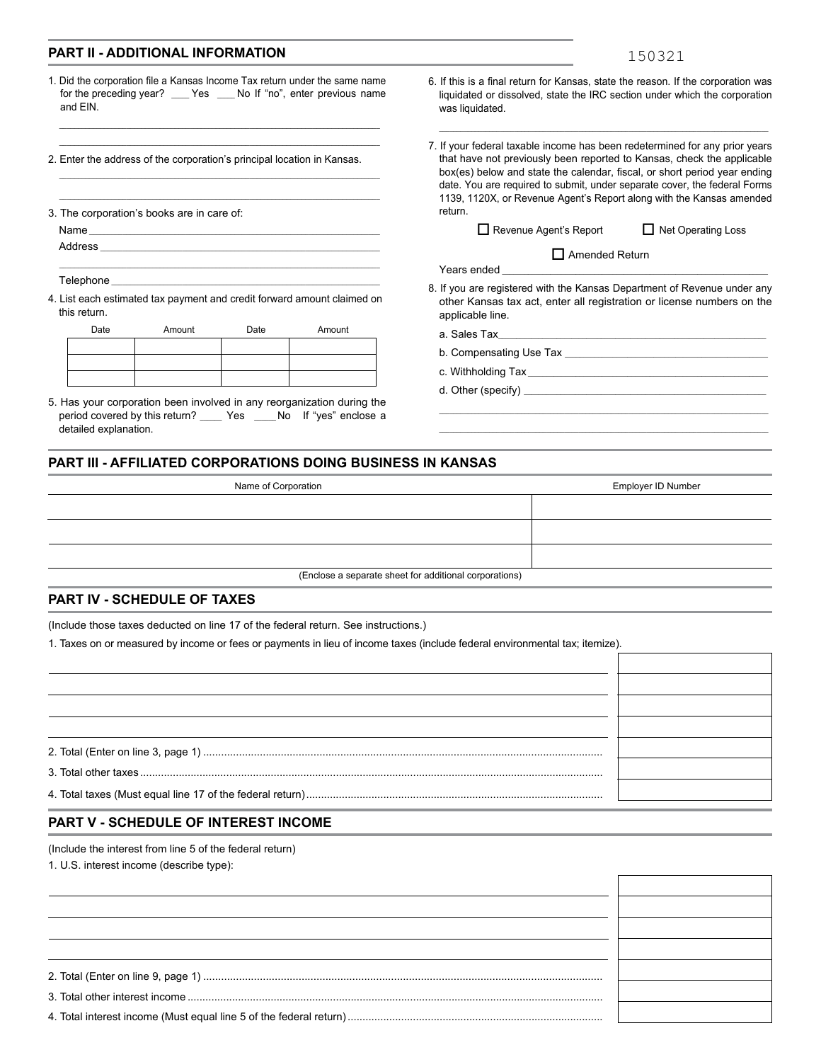#### **PART II - ADDITIONAL INFORMATION**

|--|--|

1. Did the corporation file a Kansas Income Tax return under the same name for the preceding year? \_\_\_\_ Yes \_\_\_\_ No If "no", enter previous name and EIN.

\_\_\_\_\_\_\_\_\_\_\_\_\_\_\_\_\_\_\_\_\_\_\_\_\_\_\_\_\_\_\_\_\_\_\_\_\_\_\_\_\_\_\_\_\_\_\_\_\_\_\_\_\_\_\_\_\_\_\_\_\_\_\_\_\_\_\_\_\_\_\_\_\_\_\_\_\_\_\_\_\_\_\_\_\_\_

\_\_\_\_\_\_\_\_\_\_\_\_\_\_\_\_\_\_\_\_\_\_\_\_\_\_\_\_\_\_\_\_\_\_\_\_\_\_\_\_\_\_\_\_\_\_\_\_\_\_\_\_\_\_\_\_\_\_\_\_\_\_\_\_\_\_\_\_\_\_\_\_\_\_\_\_\_\_\_\_\_\_\_\_\_\_ \_\_\_\_\_\_\_\_\_\_\_\_\_\_\_\_\_\_\_\_\_\_\_\_\_\_\_\_\_\_\_\_\_\_\_\_\_\_\_\_\_\_\_\_\_\_\_\_\_\_\_\_\_\_\_\_\_\_\_\_\_\_\_\_\_\_\_\_\_\_\_\_\_\_\_\_\_\_\_\_\_\_\_\_\_\_

\_\_\_\_\_\_\_\_\_\_\_\_\_\_\_\_\_\_\_\_\_\_\_\_\_\_\_\_\_\_\_\_\_\_\_\_\_\_\_\_\_\_\_\_\_\_\_\_\_\_\_\_\_\_\_\_\_\_\_\_\_\_\_\_\_\_\_\_\_\_\_\_\_\_\_\_\_\_ \_\_\_\_\_\_\_\_\_\_\_\_\_\_\_\_\_\_\_\_\_\_\_\_\_\_\_\_\_\_\_\_\_\_\_\_\_\_\_\_\_\_\_\_\_\_\_\_\_\_\_\_\_\_\_\_\_\_\_\_\_\_\_\_\_\_\_\_\_\_\_\_\_\_\_

\_\_\_\_\_\_\_\_\_\_\_\_\_\_\_\_\_\_\_\_\_\_\_\_\_\_\_\_\_\_\_\_\_\_\_\_\_\_\_\_\_\_\_\_\_\_\_\_\_\_\_\_\_\_\_\_\_\_\_\_\_\_\_\_\_\_\_\_\_\_\_\_

2. Enter the address of the corporation's principal location in Kansas.

3. The corporation's books are in care of:

Name

Address

Telephone

4. List each estimated tax payment and credit forward amount claimed on this return.

| Date<br>Amount |  | Date | Amount |
|----------------|--|------|--------|
|                |  |      |        |
|                |  |      |        |
|                |  |      |        |

5. Has your corporation been involved in any reorganization during the period covered by this return? \_\_\_\_\_ Yes \_\_\_\_No If "yes" enclose a detailed explanation.

- 6. If this is a final return for Kansas, state the reason. If the corporation was liquidated or dissolved, state the IRC section under which the corporation was liquidated.
- 7. If your federal taxable income has been redetermined for any prior years that have not previously been reported to Kansas, check the applicable box(es) below and state the calendar, fiscal, or short period year ending date. You are required to submit, under separate cover, the federal Forms 1139, 1120X, or Revenue Agent's Report along with the Kansas amended return.

□ Revenue Agent's Report □ Net Operating Loss

|  | Net Operating Loss |  |
|--|--------------------|--|
|  |                    |  |

Years ended

8. If you are registered with the Kansas Department of Revenue under any other Kansas tax act, enter all registration or license numbers on the applicable line.

\_\_\_\_\_\_\_\_\_\_\_\_\_\_\_\_\_\_\_\_\_\_\_\_\_\_\_\_\_\_\_\_\_\_\_\_\_\_\_\_\_\_\_\_\_\_\_\_\_\_\_\_\_\_\_\_\_\_\_\_\_\_\_\_\_\_\_\_\_\_\_\_\_\_\_\_\_\_\_\_\_\_\_\_\_\_\_\_\_\_\_\_

 $\Box$  Amended Return

a. Sales Tax

- b. Compensating Use Tax \_\_\_\_\_\_\_\_\_\_\_\_\_\_\_\_\_\_\_\_\_\_\_\_\_\_\_\_\_\_\_\_\_\_\_\_\_\_\_\_\_\_\_\_\_\_\_\_\_\_\_\_\_\_\_
- c. Withholding Tax \_\_\_\_\_\_\_\_\_\_\_\_\_\_\_\_\_\_\_\_\_\_\_\_\_\_\_\_\_\_\_\_\_\_\_\_\_\_\_\_\_\_\_\_\_\_\_\_\_\_\_\_\_\_\_\_\_\_\_\_\_\_\_\_\_
- d. Other (specify)

#### **PART III - AFFILIATED CORPORATIONS DOING BUSINESS IN KANSAS**

| Name of Corporation                                    | Employer ID Number |
|--------------------------------------------------------|--------------------|
|                                                        |                    |
|                                                        |                    |
|                                                        |                    |
| (Enclose a separate sheet for additional corporations) |                    |

#### **PART IV - SCHEDULE OF TAXES**

(Include those taxes deducted on line 17 of the federal return. See instructions.)

1. Taxes on or measured by income or fees or payments in lieu of income taxes (include federal environmental tax; itemize).

#### **PART V - SCHEDULE OF INTEREST INCOME**

(Include the interest from line 5 of the federal return)

1. U.S. interest income (describe type):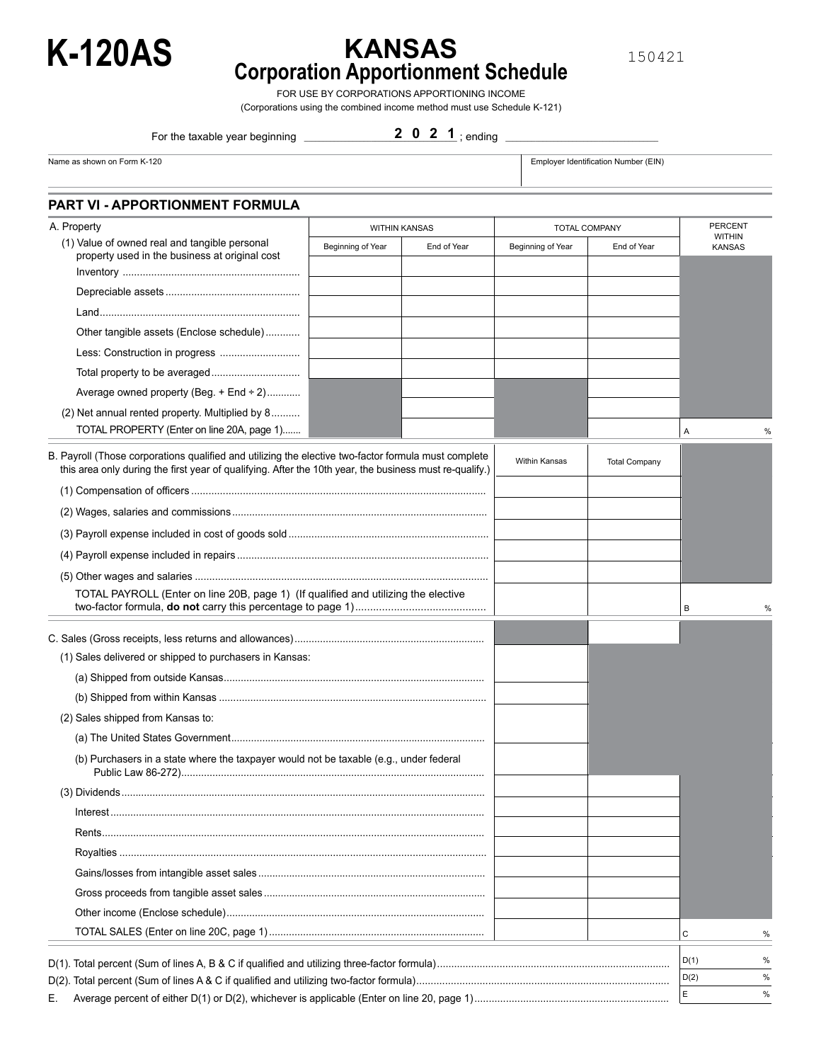

## **KANSAS Corporation Apportionment Schedule K-120AS**

150421

FOR USE BY CORPORATIONS APPORTIONING INCOME

(Corporations using the combined income method must use Schedule K-121)

For the taxable year beginning \_

2 0 2 1 ; ending

Name as shown on Form K-120 **Employer Identification Number (EIN)** Employer Identification Number (EIN)

**PART VI - APPORTIONMENT FORMULA**

| A. Property                                                                                                                                                                                                     | <b>WITHIN KANSAS</b> |             | <b>TOTAL COMPANY</b> |                      | <b>PERCENT</b><br><b>WITHIN</b> |
|-----------------------------------------------------------------------------------------------------------------------------------------------------------------------------------------------------------------|----------------------|-------------|----------------------|----------------------|---------------------------------|
| (1) Value of owned real and tangible personal<br>property used in the business at original cost                                                                                                                 | Beginning of Year    | End of Year | Beginning of Year    | End of Year          | <b>KANSAS</b>                   |
|                                                                                                                                                                                                                 |                      |             |                      |                      |                                 |
|                                                                                                                                                                                                                 |                      |             |                      |                      |                                 |
|                                                                                                                                                                                                                 |                      |             |                      |                      |                                 |
| Other tangible assets (Enclose schedule)                                                                                                                                                                        |                      |             |                      |                      |                                 |
|                                                                                                                                                                                                                 |                      |             |                      |                      |                                 |
| Total property to be averaged                                                                                                                                                                                   |                      |             |                      |                      |                                 |
| Average owned property (Beg. $+$ End $\div$ 2)                                                                                                                                                                  |                      |             |                      |                      |                                 |
| (2) Net annual rented property. Multiplied by 8                                                                                                                                                                 |                      |             |                      |                      |                                 |
| TOTAL PROPERTY (Enter on line 20A, page 1)                                                                                                                                                                      |                      |             |                      |                      | Α                               |
| B. Payroll (Those corporations qualified and utilizing the elective two-factor formula must complete<br>this area only during the first year of qualifying. After the 10th year, the business must re-qualify.) |                      |             | Within Kansas        | <b>Total Company</b> |                                 |
|                                                                                                                                                                                                                 |                      |             |                      |                      |                                 |
|                                                                                                                                                                                                                 |                      |             |                      |                      |                                 |
|                                                                                                                                                                                                                 |                      |             |                      |                      |                                 |
|                                                                                                                                                                                                                 |                      |             |                      |                      |                                 |
|                                                                                                                                                                                                                 |                      |             |                      |                      |                                 |
| TOTAL PAYROLL (Enter on line 20B, page 1) (If qualified and utilizing the elective                                                                                                                              |                      |             |                      |                      | В                               |
|                                                                                                                                                                                                                 |                      |             |                      |                      |                                 |
|                                                                                                                                                                                                                 |                      |             |                      |                      |                                 |
| (1) Sales delivered or shipped to purchasers in Kansas:                                                                                                                                                         |                      |             |                      |                      |                                 |
|                                                                                                                                                                                                                 |                      |             |                      |                      |                                 |
|                                                                                                                                                                                                                 |                      |             |                      |                      |                                 |
| (2) Sales shipped from Kansas to:                                                                                                                                                                               |                      |             |                      |                      |                                 |
|                                                                                                                                                                                                                 |                      |             |                      |                      |                                 |
| (b) Purchasers in a state where the taxpayer would not be taxable (e.g., under federal                                                                                                                          |                      |             |                      |                      |                                 |
|                                                                                                                                                                                                                 |                      |             |                      |                      |                                 |
|                                                                                                                                                                                                                 |                      |             |                      |                      |                                 |
|                                                                                                                                                                                                                 |                      |             |                      |                      |                                 |
|                                                                                                                                                                                                                 |                      |             |                      |                      |                                 |
|                                                                                                                                                                                                                 |                      |             |                      |                      |                                 |
|                                                                                                                                                                                                                 |                      |             |                      |                      |                                 |
|                                                                                                                                                                                                                 |                      |             |                      |                      |                                 |
|                                                                                                                                                                                                                 |                      |             |                      |                      | С<br>%                          |
|                                                                                                                                                                                                                 |                      |             |                      |                      | D(1)<br>%                       |
|                                                                                                                                                                                                                 |                      |             |                      |                      | D(2)<br>%                       |
| Е.                                                                                                                                                                                                              |                      |             |                      |                      | Е<br>$\%$                       |